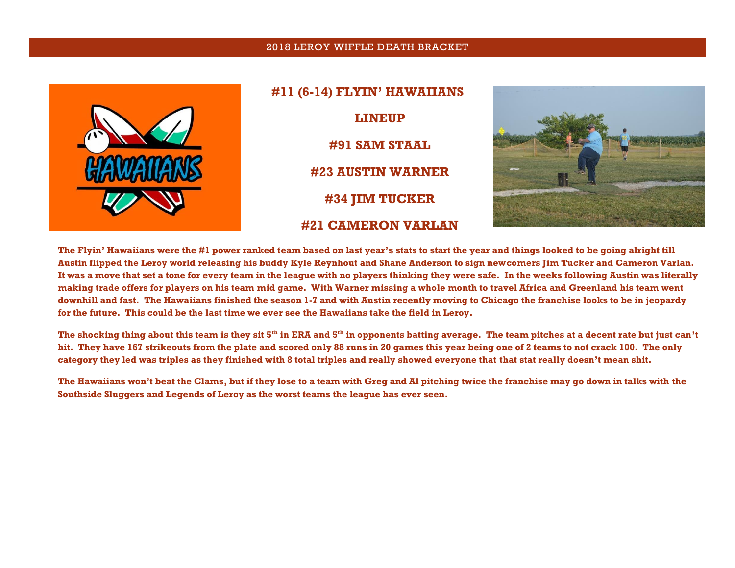## 2018 LEROY WIFFLE DEATH BRACKET



**#11 (6-14) FLYIN' HAWAIIANS LINEUP #91 SAM STAAL #23 AUSTIN WARNER #34 JIM TUCKER #21 CAMERON VARLAN**



**The Flyin' Hawaiians were the #1 power ranked team based on last year's stats to start the year and things looked to be going alright till Austin flipped the Leroy world releasing his buddy Kyle Reynhout and Shane Anderson to sign newcomers Jim Tucker and Cameron Varlan. It was a move that set a tone for every team in the league with no players thinking they were safe. In the weeks following Austin was literally making trade offers for players on his team mid game. With Warner missing a whole month to travel Africa and Greenland his team went downhill and fast. The Hawaiians finished the season 1-7 and with Austin recently moving to Chicago the franchise looks to be in jeopardy for the future. This could be the last time we ever see the Hawaiians take the field in Leroy.**

**The shocking thing about this team is they sit 5th in ERA and 5 th in opponents batting average. The team pitches at a decent rate but just can't hit. They have 167 strikeouts from the plate and scored only 88 runs in 20 games this year being one of 2 teams to not crack 100. The only category they led was triples as they finished with 8 total triples and really showed everyone that that stat really doesn't mean shit.** 

**The Hawaiians won't beat the Clams, but if they lose to a team with Greg and Al pitching twice the franchise may go down in talks with the Southside Sluggers and Legends of Leroy as the worst teams the league has ever seen.**